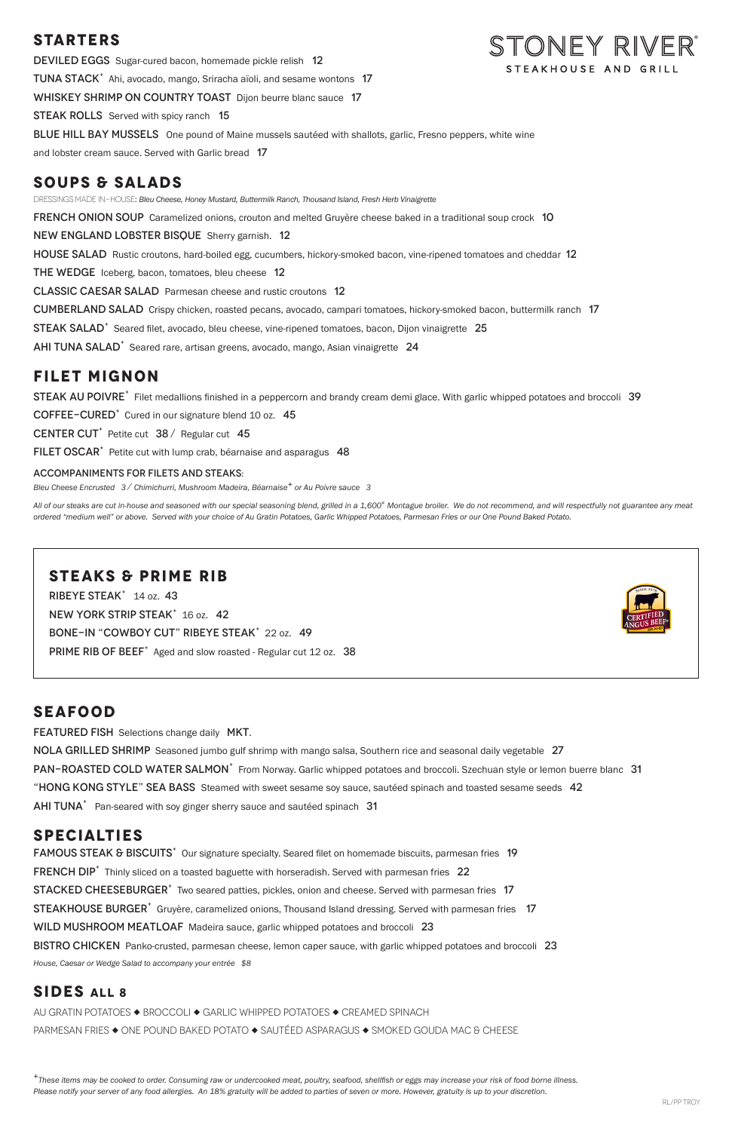# **STARTERS**

STONEY RIVER' DEVILED EGGS Sugar-cured bacon, homemade pickle relish 12 STEAKHOUSE AND GRILL TUNA STACK<sup>+</sup> Ahi, avocado, mango, Sriracha aïoli, and sesame wontons 17 WHISKEY SHRIMP ON COUNTRY TOAST Dijon beurre blanc sauce 17 **STEAK ROLLS** Served with spicy ranch 15 BLUE HILL BAY MUSSELS One pound of Maine mussels sautéed with shallots, garlic, Fresno peppers, white wine and lobster cream sauce. Served with Garlic bread 17

## **SOUPS & SALADS**

DRESSINGS MADE IN-HOUSE: *Bleu Cheese, Honey Mustard, Buttermilk Ranch, Thousand Island, Fresh Herb Vinaigrette* 

**FRENCH ONION SOUP** Caramelized onions, crouton and melted Gruyère cheese baked in a traditional soup crock 10

New England Lobster BisqueSherry garnish. 12

HOUSE SALAD Rustic croutons, hard-boiled egg, cucumbers, hickory-smoked bacon, vine-ripened tomatoes and cheddar 12

THE WEDGE Iceberg, bacon, tomatoes, bleu cheese 12

Classic Caesar SaladParmesan cheese and rustic croutons 12

CUMBERLAND SALAD Crispy chicken, roasted pecans, avocado, campari tomatoes, hickory-smoked bacon, buttermilk ranch 17

STEAK SALAD<sup>+</sup> Seared filet, avocado, bleu cheese, vine-ripened tomatoes, bacon, Dijon vinaigrette 25

AHI TUNA SALAD<sup>+</sup> Seared rare, artisan greens, avocado, mango, Asian vinaigrette 24

All of our steaks are cut in-house and seasoned with our special seasoning blend, grilled in a 1,600° Montague broiler. We do not recommend, and will respectfully not guarantee any meat *ordered "medium well" or above. Served with your choice of Au Gratin Potatoes, Garlic Whipped Potatoes, Parmesan Fries or our One Pound Baked Potato.*

## **FILET MIGNON**

STEAK AU POIVRE<sup>+</sup> Filet medallions finished in a peppercorn and brandy cream demi glace. With garlic whipped potatoes and broccoli 39

COFFEE-CURED<sup>+</sup> Cured in our signature blend 10 oz. 45

CENTER CUT<sup>+</sup> Petite cut  $38 /$  Regular cut 45

FILET OSCAR<sup>+</sup> Petite cut with lump crab, béarnaise and asparagus 48

#### ACCOMPANIMENTS FOR FILETS AND STEAKS:

*Bleu Cheese Encrusted 3 / Chimichurri, Mushroom Madeira, Béarnaise+ or Au Poivre sauce 3* 

BISTRO CHICKEN Panko-crusted, parmesan cheese, lemon caper sauce, with garlic whipped potatoes and broccoli 23 *House, Caesar or Wedge Salad to accompany your entrée \$8* 

## **STEAKS & PRIME RIB**

## **SEAFOOD**

FEATURED FISH Selections change daily MKT.

NOLA GRILLED SHRIMP Seasoned jumbo gulf shrimp with mango salsa, Southern rice and seasonal daily vegetable 27 PAN-ROASTED COLD WATER SALMON<sup>+</sup> From Norway. Garlic whipped potatoes and broccoli. Szechuan style or lemon buerre blanc 31 "HONG KONG STYLE" SEA BASS Steamed with sweet sesame soy sauce, sautéed spinach and toasted sesame seeds 42 AHI TUNA<sup>+</sup> Pan-seared with soy ginger sherry sauce and sautéed spinach 31

#### **SPECIALTIES**

FAMOUS STEAK & BISCUITS<sup>+</sup> Our signature specialty. Seared filet on homemade biscuits, parmesan fries 19 FRENCH DIP<sup>+</sup> Thinly sliced on a toasted baguette with horseradish. Served with parmesan fries 22 STACKED CHEESEBURGER<sup>+</sup> Two seared patties, pickles, onion and cheese. Served with parmesan fries 17 STEAKHOUSE BURGER<sup>+</sup> Gruyère, caramelized onions, Thousand Island dressing. Served with parmesan fries 17 WILD MUSHROOM MEATLOAF Madeira sauce, garlic whipped potatoes and broccoli 23

Ribeye Steak+ 14 oz. 43 

NEW YORK STRIP STEAK<sup>+</sup> 16 oz. 42

BONE-IN "COWBOY CUT" RIBEYE STEAK<sup>+</sup> 22 oz. 49

PRIME RIB OF BEEF<sup>+</sup> Aged and slow roasted - Regular cut 12 oz. 38

## **SIDES ALL 8**

AU GRATIN POTATOES ◆ BROCCOLI ◆ GARLIC WHIPPED POTATOES ◆ CREAMED SPINACH PARMESAN FRIES ◆ ONE POUND BAKED POTATO ◆ SAUTÉED ASPARAGUS ◆ SMOKED GOUDA MAC & CHEESE

*<sup>+</sup>These items may be cooked to order. Consuming raw or undercooked meat, poultry, seafood, shellfish or eggs may increase your risk of food borne illness. Please notify your server of any food allergies. An 18% gratuity will be added to parties of seven or more. However, gratuity is up to your discretion.*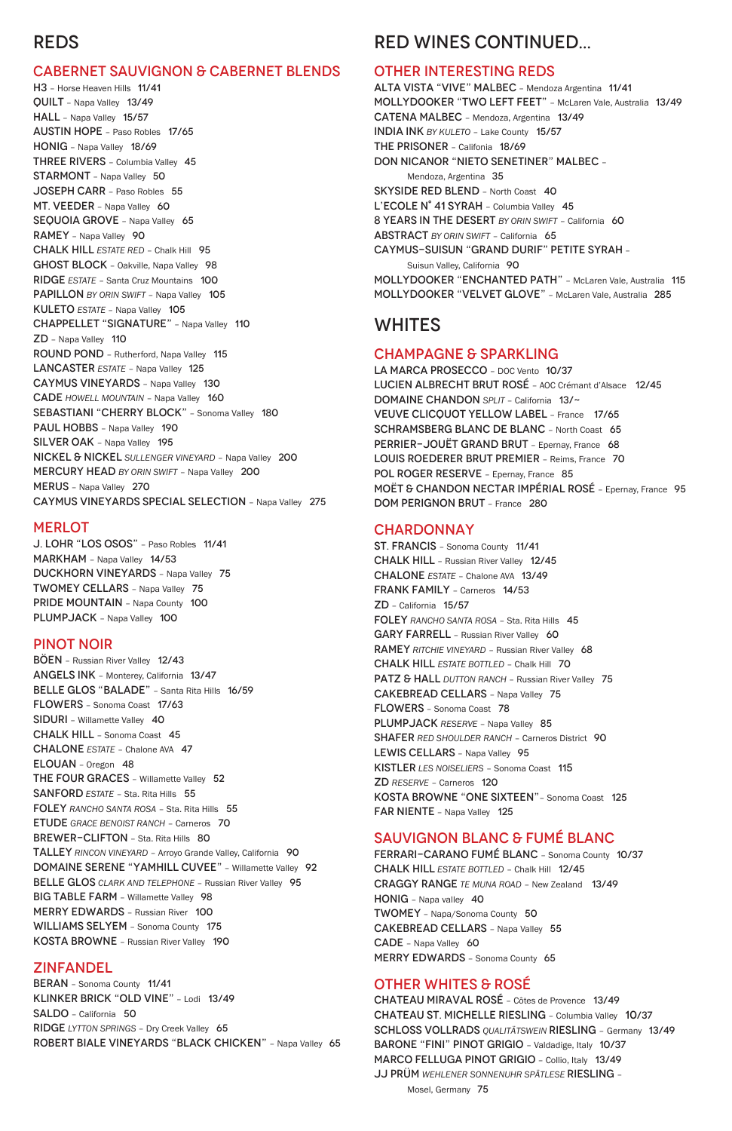# REDS

#### CABERNET SAUVIGNON & CABERNET BLENDS

J. LOHR "LOS OSOS" – Paso Robles 11/41 MARKHAM – Napa Valley 14/53 DUCKHORN VINEYARDS – Napa Valley 75 TWOMEY CELLARS – Napa Valley 75 PRIDE MOUNTAIN - Napa County 100 PLUMPJACK - Napa Valley 100

H3 – Horse Heaven Hills 11/41 QUILT – Napa Valley 13/49 HALL - Napa Valley 15/57 AUSTIN HOPE – Paso Robles 17/65 HONIG – Napa Valley 18/69 THREE RIVERS – Columbia Valley 45 STARMONT - Napa Valley 50 JOSEPH CARR – Paso Robles 55 MT. VEEDER - Napa Valley 60 SEQUOIA GROVE - Napa Valley 65 RAMEY – Napa Valley 90 CHALK HILL *ESTATE RED* – Chalk Hill 95 GHOST BLOCK - Oakville, Napa Valley 98 RIDGE *ESTATE* – Santa Cruz Mountains 100 PAPILLON *BY ORIN SWIFT* – Napa Valley 105 KULETO *ESTATE* – Napa Valley 105 CHAPPELLET "SIGNATURE" – Napa Valley 110 ZD – Napa Valley 110 ROUND POND – Rutherford, Napa Valley 115 LANCASTER *ESTATE* – Napa Valley 125 CAYMUS VINEYARDS – Napa Valley 130 CADE *HOWELL MOUNTAIN* – Napa Valley 160 SEBASTIANI "CHERRY BLOCK" – Sonoma Valley 180 PAUL HOBBS - Napa Valley 190 SILVER OAK - Napa Valley 195 NICKEL & NICKEL *SULLENGER VINEYARD* – Napa Valley 200 MERCURY HEAD *BY ORIN SWIFT* – Napa Valley 200 MERUS – Napa Valley 270 CAYMUS VINEYARDS SPECIAL SELECTION – Napa Valley 275

#### **MERLOT**

BREWER-CLIFTON - Sta. Rita Hills 80 TALLEY *RINCON VINEYARD* – Arroyo Grande Valley, California 90 DOMAINE SERENE "YAMHILL CUVEE" – Willamette Valley 92 BELLE GLOS *CLARK AND TELEPHONE* – Russian River Valley 95 BIG TABLE FARM – Willamette Valley 98 MERRY EDWARDS – Russian River 100 WILLIAMS SELYEM - Sonoma County 175 KOSTA BROWNE – Russian River Valley 190

#### PINOT NOIR

BÖEN – Russian River Valley 12/43 ANGELS INK – Monterey, California 13/47 BELLE GLOS "BALADE" – Santa Rita Hills 16/59 FLOWERS – Sonoma Coast 17/63 SIDURI – Willamette Valley 40 CHALK HILL – Sonoma Coast 45 CHALONE *ESTATE* – Chalone AVA 47 ELOUAN – Oregon 48 THE FOUR GRACES - Willamette Valley 52 SANFORD **ESTATE** - Sta. Rita Hills 55 FOLEY *RANCHO SANTA ROSA* – Sta. Rita Hills 55 ETUDE *GRACE BENOIST RANCH* – Carneros 70

#### ZINFANDEL

BERAN – Sonoma County 11/41 KLINKER BRICK "OLD VINE" – Lodi 13/49 SALDO – California 50 RIDGE *LYTTON SPRINGS* – Dry Creek Valley 65 ROBERT BIALE VINEYARDS "BLACK CHICKEN" – Napa Valley 65

# RED WINES CONTINUED...

#### OTHER INTERESTING REDS

ALTA VISTA "VIVE" MALBEC – Mendoza Argentina 11/41 MOLLYDOOKER "TWO LEFT FEET" – McLaren Vale, Australia 13/49 CATENA MALBEC – Mendoza, Argentina 13/49 INDIA INK *BY KULETO* – Lake County 15/57 THE PRISONER – Califonia 18/69 DON NICANOR "NIETO SENETINER" MALBEC – Mendoza, Argentina 35 SKYSIDE RED BLEND – North Coast 40 L'ECOLE N° 41 SYRAH – Columbia Valley 45 8 YEARS IN THE DESERT *BY ORIN SWIFT* – California 60 ABSTRACT *BY ORIN SWIFT* – California 65 CAYMUS-SUISUN "GRAND DURIF" PETITE SYRAH – Suisun Valley, California 90 MOLLYDOOKER "ENCHANTED PATH" – McLaren Vale, Australia 115 MOLLYDOOKER "VELVET GLOVE" – McLaren Vale, Australia 285

# WHITES

#### CHAMPAGNE & SPARKLING

LA MARCA PROSECCO – DOC Vento 10/37 LUCIEN ALBRECHT BRUT ROSÉ – AOC Crémant d'Alsace 12/45 DOMAINE CHANDON *SPLIT* – California 13/~ VEUVE CLICQUOT YELLOW LABEL – France 17/65 SCHRAMSBERG BLANC DE BLANC - North Coast 65 PERRIER-JOUËT GRAND BRUT - Epernay, France 68 LOUIS ROEDERER BRUT PREMIER – Reims, France 70 POL ROGER RESERVE - Epernay, France 85 MOËT & CHANDON NECTAR IMPÉRIAL ROSÉ – Epernay, France 95 DOM PERIGNON BRUT – France 280

#### CHARDONNAY

ST. FRANCIS – Sonoma County 11/41 CHALK HILL – Russian River Valley 12/45 CHALONE *ESTATE* – Chalone AVA 13/49 FRANK FAMILY – Carneros 14/53 ZD – California 15/57 FOLEY *RANCHO SANTA ROSA* – Sta. Rita Hills 45 GARY FARRELL - Russian River Valley 60 RAMEY *RITCHIE VINEYARD* – Russian River Valley 68 CHALK HILL *ESTATE BOTTLED* – Chalk Hill 70 PATZ & HALL *DUTTON RANCH* – Russian River Valley 75 CAKEBREAD CELLARS – Napa Valley 75 FLOWERS – Sonoma Coast 78 PLUMPJACK RESERVE - Napa Valley 85 SHAFER *RED SHOULDER RANCH* – Carneros District 90 LEWIS CELLARS - Napa Valley 95 KISTLER *LES NOISELIERS* – Sonoma Coast 115 ZD *RESERVE* – Carneros 120 KOSTA BROWNE "ONE SIXTEEN"– Sonoma Coast 125 FAR NIENTE – Napa Valley 125

#### SAUVIGNON BLANC & FUMÉ BLANC

FERRARI-CARANO FUMÉ BLANC – Sonoma County 10/37 CHALK HILL *ESTATE BOTTLED* – Chalk Hill 12/45 CRAGGY RANGE *TE MUNA ROAD* – New Zealand 13/49 HONIG – Napa valley 40 TWOMEY – Napa/Sonoma County 50 CAKEBREAD CELLARS – Napa Valley 55 CADE – Napa Valley 60 MERRY EDWARDS – Sonoma County 65

## OTHER WHITES & ROSÉ

CHATEAU MIRAVAL ROSÉ – Côtes de Provence 13/49 CHATEAU ST. MICHELLE RIESLING – Columbia Valley 10/37 SCHLOSS VOLLRADS *QUALITÄTSWEIN* RIESLING – Germany 13/49 BARONE "FINI" PINOT GRIGIO - Valdadige, Italy 10/37 MARCO FELLUGA PINOT GRIGIO – Collio, Italy 13/49 JJ PRÜM *WEHLENER SONNENUHR SPÄTLESE* RIESLING – Mosel, Germany 75